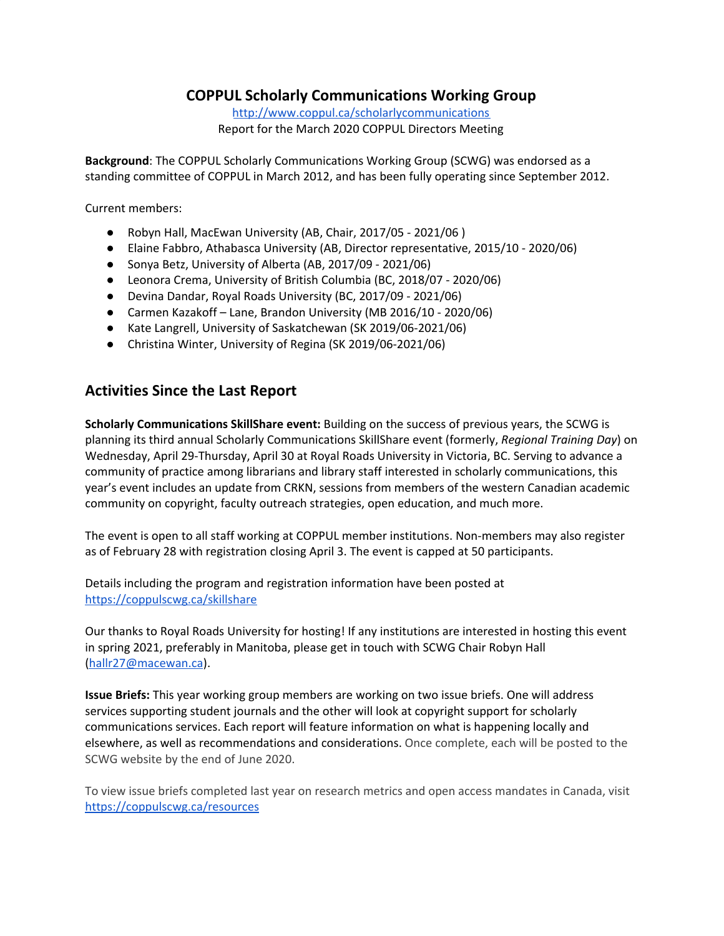## **COPPUL Scholarly Communications Working Group**

<http://www.coppul.ca/scholarlycommunications> Report for the March 2020 COPPUL Directors Meeting

**Background**: The COPPUL Scholarly Communications Working Group (SCWG) was endorsed as a standing committee of COPPUL in March 2012, and has been fully operating since September 2012.

Current members:

- Robyn Hall, MacEwan University (AB, Chair, 2017/05 2021/06 )
- Elaine Fabbro, Athabasca University (AB, Director representative, 2015/10 2020/06)
- Sonya Betz, University of Alberta (AB, 2017/09 2021/06)
- Leonora Crema, University of British Columbia (BC, 2018/07 2020/06)
- Devina Dandar, Royal Roads University (BC, 2017/09 2021/06)
- Carmen Kazakoff Lane, Brandon University (MB 2016/10 2020/06)
- Kate Langrell, University of Saskatchewan (SK 2019/06-2021/06)
- Christina Winter, University of Regina (SK 2019/06-2021/06)

## **Activities Since the Last Report**

**Scholarly Communications SkillShare event:** Building on the success of previous years, the SCWG is planning its third annual Scholarly Communications SkillShare event (formerly, *Regional Training Day*) on Wednesday, April 29-Thursday, April 30 at Royal Roads University in Victoria, BC. Serving to advance a community of practice among librarians and library staff interested in scholarly communications, this year's event includes an update from CRKN, sessions from members of the western Canadian academic community on copyright, faculty outreach strategies, open education, and much more.

The event is open to all staff working at COPPUL member institutions. Non-members may also register as of February 28 with registration closing April 3. The event is capped at 50 participants.

Details including the program and registration information have been posted at <https://coppulscwg.ca/skillshare>

Our thanks to Royal Roads University for hosting! If any institutions are interested in hosting this event in spring 2021, preferably in Manitoba, please get in touch with SCWG Chair Robyn Hall [\(hallr27@macewan.ca\)](mailto:hallr27@macewan.ca).

**Issue Briefs:** This year working group members are working on two issue briefs. One will address services supporting student journals and the other will look at copyright support for scholarly communications services. Each report will feature information on what is happening locally and elsewhere, as well as recommendations and considerations. Once complete, each will be posted to the SCWG website by the end of June 2020.

To view issue briefs completed last year on research metrics and open access mandates in Canada, visit <https://coppulscwg.ca/resources>